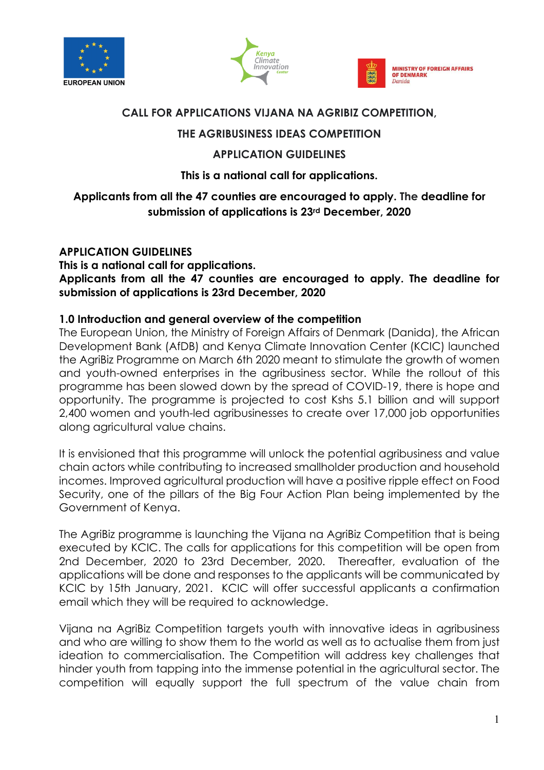





### **CALL FOR APPLICATIONS VIJANA NA AGRIBIZ COMPETITION,**

# **THE AGRIBUSINESS IDEAS COMPETITION**

# **APPLICATION GUIDELINES**

## **This is a national call for applications.**

# **Applicants from all the 47 counties are encouraged to apply. The deadline for submission of applications is 23rd December, 2020**

## **APPLICATION GUIDELINES**

**This is a national call for applications.** 

**Applicants from all the 47 counties are encouraged to apply. The deadline for submission of applications is 23rd December, 2020**

## **1.0 Introduction and general overview of the competition**

The European Union, the Ministry of Foreign Affairs of Denmark (Danida), the African Development Bank (AfDB) and Kenya Climate Innovation Center (KCIC) launched the AgriBiz Programme on March 6th 2020 meant to stimulate the growth of women and youth-owned enterprises in the agribusiness sector. While the rollout of this programme has been slowed down by the spread of COVID-19, there is hope and opportunity. The programme is projected to cost Kshs 5.1 billion and will support 2,400 women and youth-led agribusinesses to create over 17,000 job opportunities along agricultural value chains.

It is envisioned that this programme will unlock the potential agribusiness and value chain actors while contributing to increased smallholder production and household incomes. Improved agricultural production will have a positive ripple effect on Food Security, one of the pillars of the Big Four Action Plan being implemented by the Government of Kenya.

The AgriBiz programme is launching the Vijana na AgriBiz Competition that is being executed by KCIC. The calls for applications for this competition will be open from 2nd December, 2020 to 23rd December, 2020. Thereafter, evaluation of the applications will be done and responses to the applicants will be communicated by KCIC by 15th January, 2021. KCIC will offer successful applicants a confirmation email which they will be required to acknowledge.

Vijana na AgriBiz Competition targets youth with innovative ideas in agribusiness and who are willing to show them to the world as well as to actualise them from just ideation to commercialisation. The Competition will address key challenges that hinder youth from tapping into the immense potential in the agricultural sector. The competition will equally support the full spectrum of the value chain from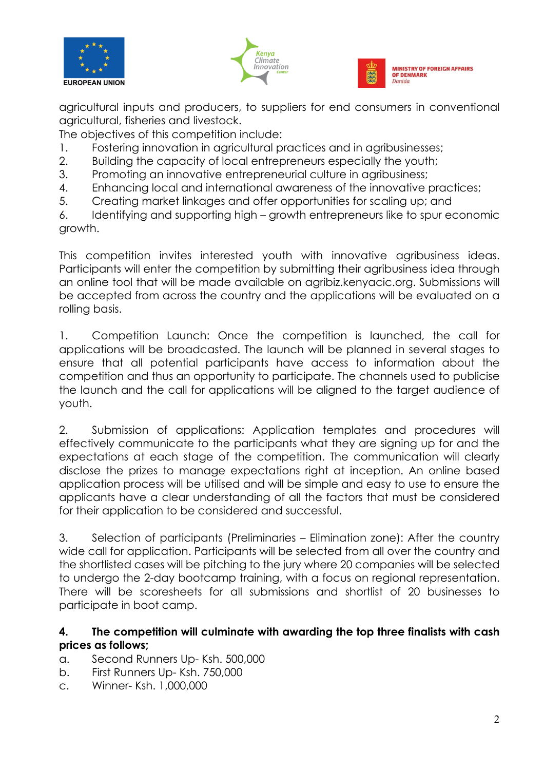





agricultural inputs and producers, to suppliers for end consumers in conventional agricultural, fisheries and livestock.

The objectives of this competition include:

- 1. Fostering innovation in agricultural practices and in agribusinesses;
- 2. Building the capacity of local entrepreneurs especially the youth;
- 3. Promoting an innovative entrepreneurial culture in agribusiness;
- 4. Enhancing local and international awareness of the innovative practices;
- 5. Creating market linkages and offer opportunities for scaling up; and

6. Identifying and supporting high – growth entrepreneurs like to spur economic growth.

This competition invites interested youth with innovative agribusiness ideas. Participants will enter the competition by submitting their agribusiness idea through an online tool that will be made available on agribiz.kenyacic.org. Submissions will be accepted from across the country and the applications will be evaluated on a rolling basis.

1. Competition Launch: Once the competition is launched, the call for applications will be broadcasted. The launch will be planned in several stages to ensure that all potential participants have access to information about the competition and thus an opportunity to participate. The channels used to publicise the launch and the call for applications will be aligned to the target audience of youth.

2. Submission of applications: Application templates and procedures will effectively communicate to the participants what they are signing up for and the expectations at each stage of the competition. The communication will clearly disclose the prizes to manage expectations right at inception. An online based application process will be utilised and will be simple and easy to use to ensure the applicants have a clear understanding of all the factors that must be considered for their application to be considered and successful.

3. Selection of participants (Preliminaries – Elimination zone): After the country wide call for application. Participants will be selected from all over the country and the shortlisted cases will be pitching to the jury where 20 companies will be selected to undergo the 2-day bootcamp training, with a focus on regional representation. There will be scoresheets for all submissions and shortlist of 20 businesses to participate in boot camp.

## **4. The competition will culminate with awarding the top three finalists with cash prices as follows;**

- a. Second Runners Up- Ksh. 500,000
- b. First Runners Up- Ksh. 750,000
- c. Winner- Ksh. 1,000,000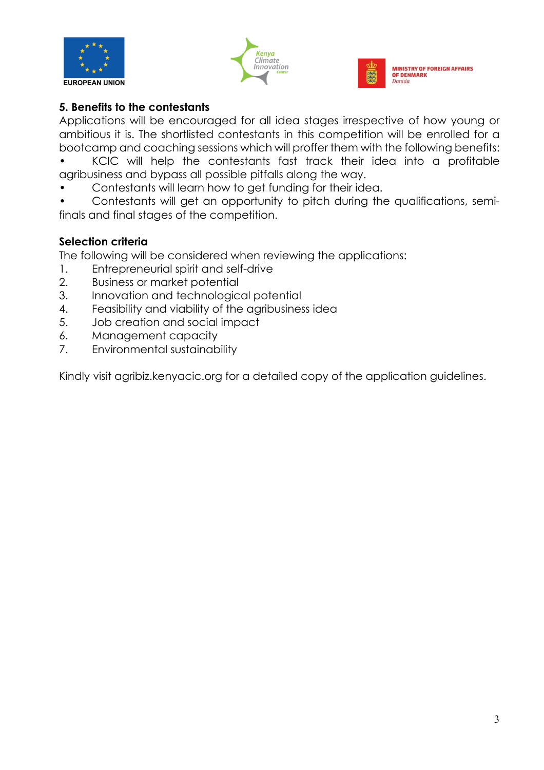





## **5. Benefits to the contestants**

Applications will be encouraged for all idea stages irrespective of how young or ambitious it is. The shortlisted contestants in this competition will be enrolled for a bootcamp and coaching sessions which will proffer them with the following benefits:

• KCIC will help the contestants fast track their idea into a profitable agribusiness and bypass all possible pitfalls along the way.

• Contestants will learn how to get funding for their idea.

• Contestants will get an opportunity to pitch during the qualifications, semifinals and final stages of the competition.

### **Selection criteria**

The following will be considered when reviewing the applications:

- 1. Entrepreneurial spirit and self-drive
- 2. Business or market potential
- 3. Innovation and technological potential
- 4. Feasibility and viability of the agribusiness idea
- 5. Job creation and social impact
- 6. Management capacity
- 7. Environmental sustainability

Kindly visit agribiz.kenyacic.org for a detailed copy of the application guidelines.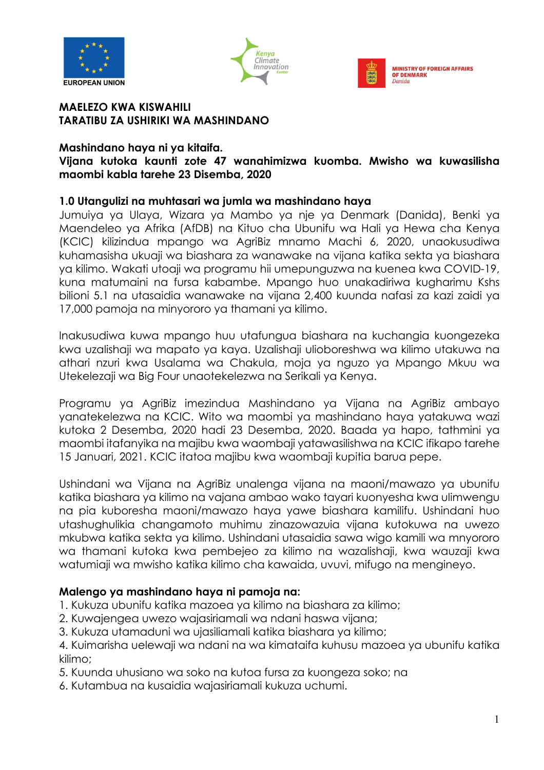





#### **MAELEZO KWA KISWAHILI TARATIBU ZA USHIRIKI WA MASHINDANO**

### **Mashindano haya ni ya kitaifa.**

### **Vijana kutoka kaunti zote 47 wanahimizwa kuomba. Mwisho wa kuwasilisha maombi kabla tarehe 23 Disemba, 2020**

### **1.0 Utangulizi na muhtasari wa jumla wa mashindano haya**

Jumuiya ya Ulaya, Wizara ya Mambo ya nje ya Denmark (Danida), Benki ya Maendeleo ya Afrika (AfDB) na Kituo cha Ubunifu wa Hali ya Hewa cha Kenya (KCIC) kilizindua mpango wa AgriBiz mnamo Machi 6, 2020, unaokusudiwa kuhamasisha ukuaji wa biashara za wanawake na vijana katika sekta ya biashara ya kilimo. Wakati utoaji wa programu hii umepunguzwa na kuenea kwa COVID-19, kuna matumaini na fursa kabambe. Mpango huo unakadiriwa kugharimu Kshs bilioni 5.1 na utasaidia wanawake na vijana 2,400 kuunda nafasi za kazi zaidi ya 17,000 pamoja na minyororo ya thamani ya kilimo.

Inakusudiwa kuwa mpango huu utafungua biashara na kuchangia kuongezeka kwa uzalishaji wa mapato ya kaya. Uzalishaji ulioboreshwa wa kilimo utakuwa na athari nzuri kwa Usalama wa Chakula, moja ya nguzo ya Mpango Mkuu wa Utekelezaji wa Big Four unaotekelezwa na Serikali ya Kenya.

Programu ya AgriBiz imezindua Mashindano ya Vijana na AgriBiz ambayo yanatekelezwa na KCIC. Wito wa maombi ya mashindano haya yatakuwa wazi kutoka 2 Desemba, 2020 hadi 23 Desemba, 2020. Baada ya hapo, tathmini ya maombi itafanyika na majibu kwa waombaji yatawasilishwa na KCIC ifikapo tarehe 15 Januari, 2021. KCIC itatoa majibu kwa waombaji kupitia barua pepe.

Ushindani wa Vijana na AgriBiz unalenga vijana na maoni/mawazo ya ubunifu katika biashara ya kilimo na vajana ambao wako tayari kuonyesha kwa ulimwengu na pia kuboresha maoni/mawazo haya yawe biashara kamilifu. Ushindani huo utashughulikia changamoto muhimu zinazowazuia vijana kutokuwa na uwezo mkubwa katika sekta ya kilimo. Ushindani utasaidia sawa wigo kamili wa mnyororo wa thamani kutoka kwa pembejeo za kilimo na wazalishaji, kwa wauzaji kwa watumiaji wa mwisho katika kilimo cha kawaida, uvuvi, mifugo na mengineyo.

## **Malengo ya mashindano haya ni pamoja na:**

- 1. Kukuza ubunifu katika mazoea ya kilimo na biashara za kilimo;
- 2. Kuwajengea uwezo wajasiriamali wa ndani haswa vijana;
- 3. Kukuza utamaduni wa ujasiliamali katika biashara ya kilimo;

4. Kuimarisha uelewaji wa ndani na wa kimataifa kuhusu mazoea ya ubunifu katika kilimo;

- 5. Kuunda uhusiano wa soko na kutoa fursa za kuongeza soko; na
- 6. Kutambua na kusaidia wajasiriamali kukuza uchumi.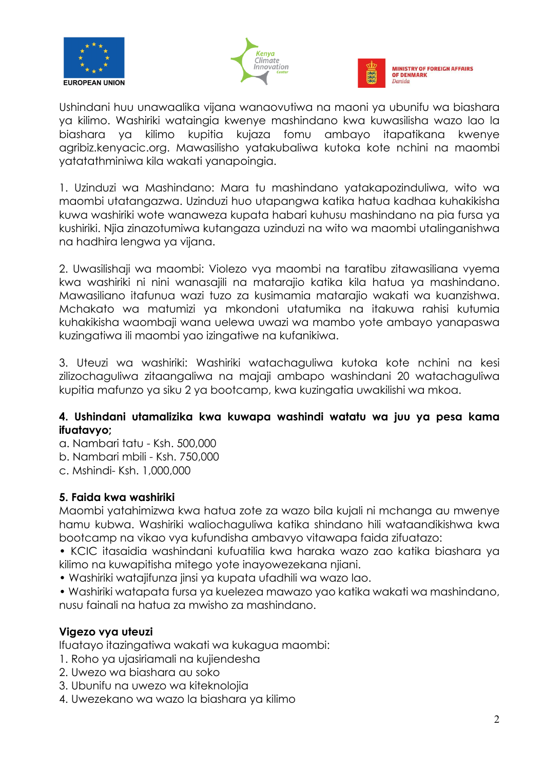





Ushindani huu unawaalika vijana wanaovutiwa na maoni ya ubunifu wa biashara ya kilimo. Washiriki wataingia kwenye mashindano kwa kuwasilisha wazo lao la biashara ya kilimo kupitia kujaza fomu ambayo itapatikana kwenye agribiz.kenyacic.org. Mawasilisho yatakubaliwa kutoka kote nchini na maombi yatatathminiwa kila wakati yanapoingia.

1. Uzinduzi wa Mashindano: Mara tu mashindano yatakapozinduliwa, wito wa maombi utatangazwa. Uzinduzi huo utapangwa katika hatua kadhaa kuhakikisha kuwa washiriki wote wanaweza kupata habari kuhusu mashindano na pia fursa ya kushiriki. Njia zinazotumiwa kutangaza uzinduzi na wito wa maombi utalinganishwa na hadhira lengwa ya vijana.

2. Uwasilishaji wa maombi: Violezo vya maombi na taratibu zitawasiliana vyema kwa washiriki ni nini wanasajili na matarajio katika kila hatua ya mashindano. Mawasiliano itafunua wazi tuzo za kusimamia matarajio wakati wa kuanzishwa. Mchakato wa matumizi ya mkondoni utatumika na itakuwa rahisi kutumia kuhakikisha waombaji wana uelewa uwazi wa mambo yote ambayo yanapaswa kuzingatiwa ili maombi yao izingatiwe na kufanikiwa.

3. Uteuzi wa washiriki: Washiriki watachaguliwa kutoka kote nchini na kesi zilizochaguliwa zitaangaliwa na majaji ambapo washindani 20 watachaguliwa kupitia mafunzo ya siku 2 ya bootcamp, kwa kuzingatia uwakilishi wa mkoa.

## **4. Ushindani utamalizika kwa kuwapa washindi watatu wa juu ya pesa kama ifuatavyo;**

- a. Nambari tatu Ksh. 500,000
- b. Nambari mbili Ksh. 750,000
- c. Mshindi- Ksh. 1,000,000

## **5. Faida kwa washiriki**

Maombi yatahimizwa kwa hatua zote za wazo bila kujali ni mchanga au mwenye hamu kubwa. Washiriki waliochaguliwa katika shindano hili wataandikishwa kwa bootcamp na vikao vya kufundisha ambavyo vitawapa faida zifuatazo:

• KCIC itasaidia washindani kufuatilia kwa haraka wazo zao katika biashara ya kilimo na kuwapitisha mitego yote inayowezekana njiani.

- Washiriki watajifunza jinsi ya kupata ufadhili wa wazo lao.
- Washiriki watapata fursa ya kuelezea mawazo yao katika wakati wa mashindano, nusu fainali na hatua za mwisho za mashindano.

# **Vigezo vya uteuzi**

Ifuatayo itazingatiwa wakati wa kukagua maombi:

- 1. Roho ya ujasiriamali na kujiendesha
- 2. Uwezo wa biashara au soko
- 3. Ubunifu na uwezo wa kiteknolojia
- 4. Uwezekano wa wazo la biashara ya kilimo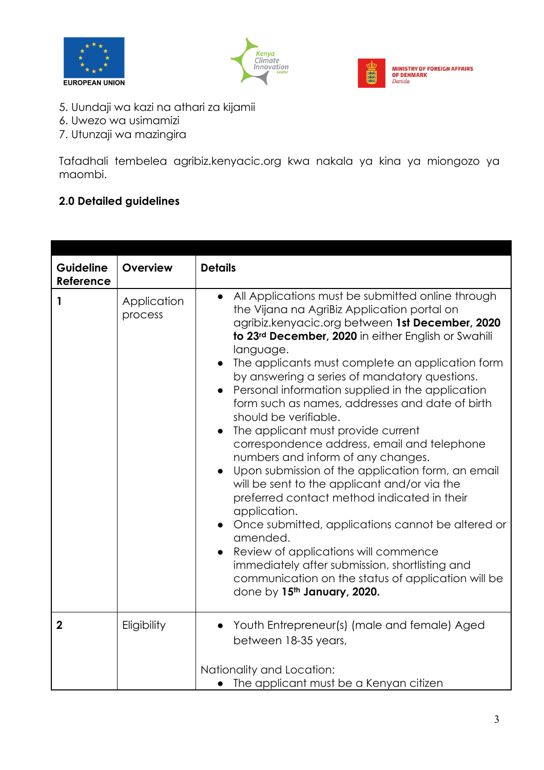





- 5. Uundaji wa kazi na athari za kijamii
- 6. Uwezo wa usimamizi
- 7. Utunzaji wa mazingira

Tafadhali tembelea agribiz.kenyacic.org kwa nakala ya kina ya miongozo ya maombi.

# **2.0 Detailed guidelines**

| Guideline<br>Reference | Overview               | <b>Details</b>                                                                                                                                                                                                                                                                                                                                                                                                                                                                                                                                                                                                                                                                                                                                                                                                                                                                                                                                                                                                                                     |
|------------------------|------------------------|----------------------------------------------------------------------------------------------------------------------------------------------------------------------------------------------------------------------------------------------------------------------------------------------------------------------------------------------------------------------------------------------------------------------------------------------------------------------------------------------------------------------------------------------------------------------------------------------------------------------------------------------------------------------------------------------------------------------------------------------------------------------------------------------------------------------------------------------------------------------------------------------------------------------------------------------------------------------------------------------------------------------------------------------------|
| 1                      | Application<br>process | All Applications must be submitted online through<br>$\bullet$<br>the Vijana na AgriBiz Application portal on<br>agribiz.kenyacic.org between 1st December, 2020<br>to 23rd December, 2020 in either English or Swahili<br>language.<br>The applicants must complete an application form<br>$\bullet$<br>by answering a series of mandatory questions.<br>Personal information supplied in the application<br>form such as names, addresses and date of birth<br>should be verifiable.<br>The applicant must provide current<br>correspondence address, email and telephone<br>numbers and inform of any changes.<br>Upon submission of the application form, an email<br>will be sent to the applicant and/or via the<br>preferred contact method indicated in their<br>application.<br>Once submitted, applications cannot be altered or<br>amended.<br>Review of applications will commence<br>$\bullet$<br>immediately after submission, shortlisting and<br>communication on the status of application will be<br>done by 15th January, 2020. |
| $\boldsymbol{2}$       | Eligibility            | Youth Entrepreneur(s) (male and female) Aged<br>$\bullet$<br>between 18-35 years,                                                                                                                                                                                                                                                                                                                                                                                                                                                                                                                                                                                                                                                                                                                                                                                                                                                                                                                                                                  |
|                        |                        | Nationality and Location:<br>• The applicant must be a Kenyan citizen                                                                                                                                                                                                                                                                                                                                                                                                                                                                                                                                                                                                                                                                                                                                                                                                                                                                                                                                                                              |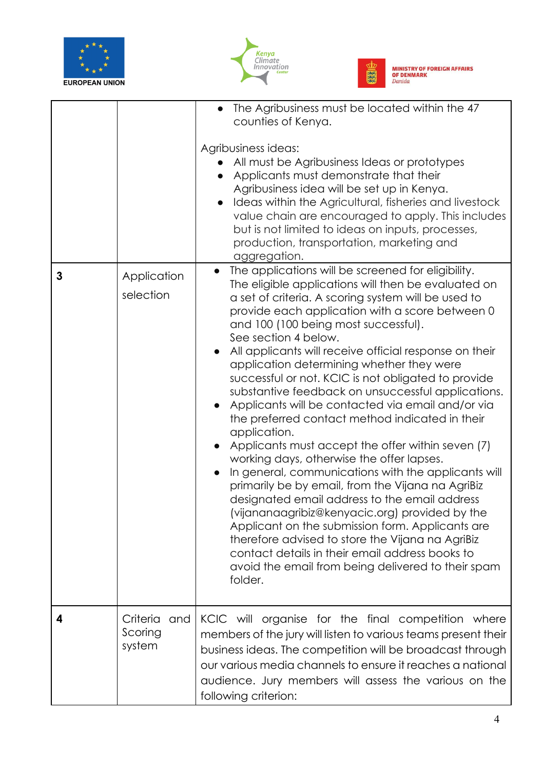





٦

|   |                                      | The Agribusiness must be located within the 47<br>counties of Kenya.<br>Agribusiness ideas:<br>All must be Agribusiness Ideas or prototypes<br>Applicants must demonstrate that their<br>Agribusiness idea will be set up in Kenya.<br>Ideas within the Agricultural, fisheries and livestock<br>value chain are encouraged to apply. This includes<br>but is not limited to ideas on inputs, processes,<br>production, transportation, marketing and<br>aggregation.                                                                                                                                                                                                                                                                                                                                                                                                                                                                                                                                                                                                                                                                                                                     |
|---|--------------------------------------|-------------------------------------------------------------------------------------------------------------------------------------------------------------------------------------------------------------------------------------------------------------------------------------------------------------------------------------------------------------------------------------------------------------------------------------------------------------------------------------------------------------------------------------------------------------------------------------------------------------------------------------------------------------------------------------------------------------------------------------------------------------------------------------------------------------------------------------------------------------------------------------------------------------------------------------------------------------------------------------------------------------------------------------------------------------------------------------------------------------------------------------------------------------------------------------------|
| 3 | Application<br>selection             | The applications will be screened for eligibility.<br>$\bullet$<br>The eligible applications will then be evaluated on<br>a set of criteria. A scoring system will be used to<br>provide each application with a score between 0<br>and 100 (100 being most successful).<br>See section 4 below.<br>All applicants will receive official response on their<br>application determining whether they were<br>successful or not. KCIC is not obligated to provide<br>substantive feedback on unsuccessful applications.<br>Applicants will be contacted via email and/or via<br>the preferred contact method indicated in their<br>application.<br>Applicants must accept the offer within seven (7)<br>working days, otherwise the offer lapses.<br>In general, communications with the applicants will<br>primarily be by email, from the Vijana na AgriBiz<br>designated email address to the email address<br>(vijananaagribiz@kenyacic.org) provided by the<br>Applicant on the submission form. Applicants are<br>therefore advised to store the Vijana na AgriBiz<br>contact details in their email address books to<br>avoid the email from being delivered to their spam<br>folder. |
| 4 | Criteria<br>and<br>Scoring<br>system | KCIC will organise for the final competition where<br>members of the jury will listen to various teams present their<br>business ideas. The competition will be broadcast through<br>our various media channels to ensure it reaches a national<br>audience. Jury members will assess the various on the<br>following criterion:                                                                                                                                                                                                                                                                                                                                                                                                                                                                                                                                                                                                                                                                                                                                                                                                                                                          |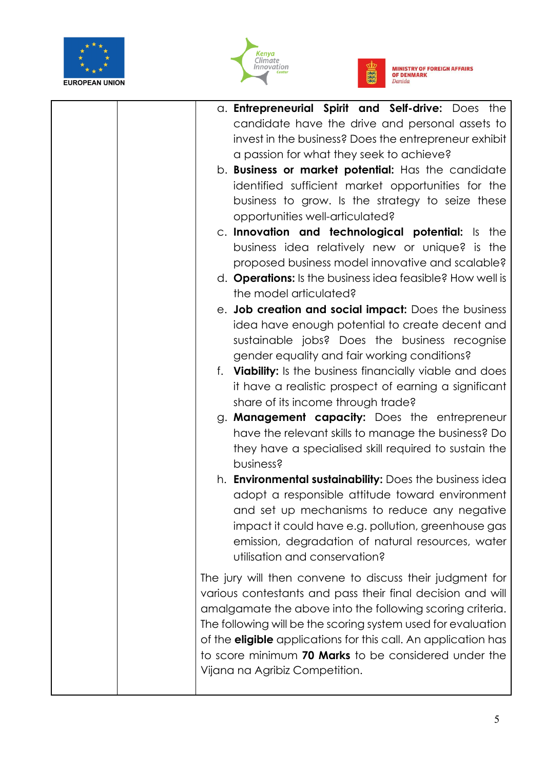





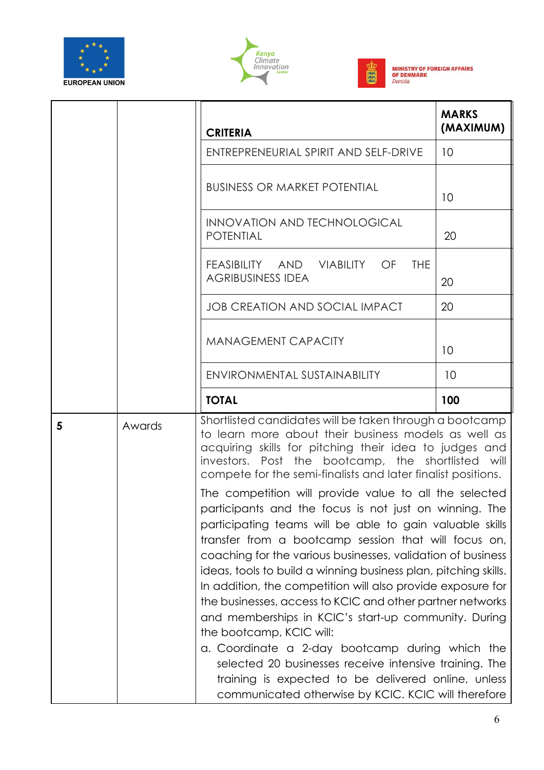





|   |        | <b>CRITERIA</b>                                                                                                                                                                                                                                                                                                                                                                                                                                                                                                                                                                                                                                                                                                                                                                                                   | <b>MARKS</b><br>(MAXIMUM) |
|---|--------|-------------------------------------------------------------------------------------------------------------------------------------------------------------------------------------------------------------------------------------------------------------------------------------------------------------------------------------------------------------------------------------------------------------------------------------------------------------------------------------------------------------------------------------------------------------------------------------------------------------------------------------------------------------------------------------------------------------------------------------------------------------------------------------------------------------------|---------------------------|
|   |        | ENTREPRENEURIAL SPIRIT AND SELF-DRIVE                                                                                                                                                                                                                                                                                                                                                                                                                                                                                                                                                                                                                                                                                                                                                                             | 10                        |
|   |        | <b>BUSINESS OR MARKET POTENTIAL</b>                                                                                                                                                                                                                                                                                                                                                                                                                                                                                                                                                                                                                                                                                                                                                                               | 10                        |
|   |        | <b>INNOVATION AND TECHNOLOGICAL</b><br><b>POTENTIAL</b>                                                                                                                                                                                                                                                                                                                                                                                                                                                                                                                                                                                                                                                                                                                                                           | 20                        |
|   |        | FEASIBILITY AND VIABILITY OF<br><b>THE</b><br><b>AGRIBUSINESS IDEA</b>                                                                                                                                                                                                                                                                                                                                                                                                                                                                                                                                                                                                                                                                                                                                            | 20                        |
|   |        | <b>JOB CREATION AND SOCIAL IMPACT</b>                                                                                                                                                                                                                                                                                                                                                                                                                                                                                                                                                                                                                                                                                                                                                                             | 20                        |
|   |        | <b>MANAGEMENT CAPACITY</b>                                                                                                                                                                                                                                                                                                                                                                                                                                                                                                                                                                                                                                                                                                                                                                                        | 10                        |
|   |        | ENVIRONMENTAL SUSTAINABILITY                                                                                                                                                                                                                                                                                                                                                                                                                                                                                                                                                                                                                                                                                                                                                                                      | 10                        |
|   |        | <b>TOTAL</b>                                                                                                                                                                                                                                                                                                                                                                                                                                                                                                                                                                                                                                                                                                                                                                                                      | 100                       |
| 5 | Awards | Shortlisted candidates will be taken through a bootcamp<br>to learn more about their business models as well as<br>acquiring skills for pitching their idea to judges and<br>investors. Post the bootcamp, the shortlisted will<br>compete for the semi-finalists and later finalist positions.                                                                                                                                                                                                                                                                                                                                                                                                                                                                                                                   |                           |
|   |        | The competition will provide value to all the selected<br>participants and the focus is not just on winning. The<br>participating teams will be able to gain valuable skills<br>transfer from a bootcamp session that will focus on,<br>coaching for the various businesses, validation of business<br>ideas, tools to build a winning business plan, pitching skills.<br>In addition, the competition will also provide exposure for<br>the businesses, access to KCIC and other partner networks<br>and memberships in KCIC's start-up community. During<br>the bootcamp, KCIC will:<br>a. Coordinate a 2-day bootcamp during which the<br>selected 20 businesses receive intensive training. The<br>training is expected to be delivered online, unless<br>communicated otherwise by KCIC. KCIC will therefore |                           |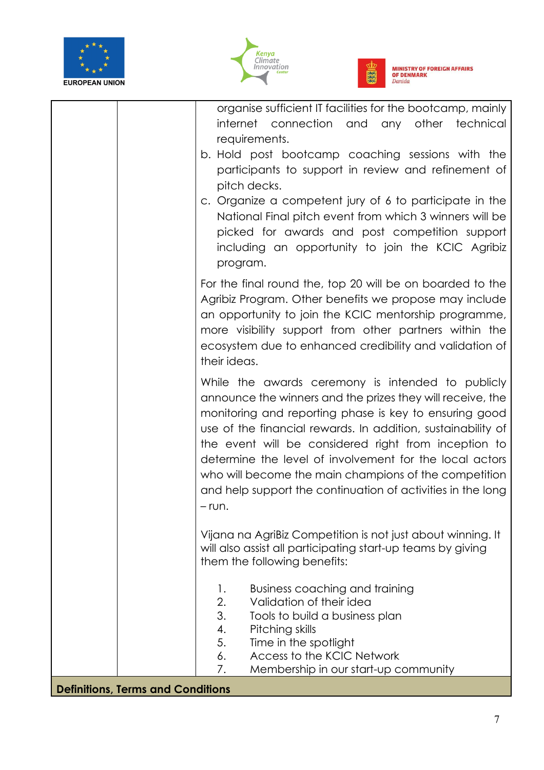





|                                          | organise sufficient IT facilities for the bootcamp, mainly<br>internet connection and any other technical<br>requirements.<br>b. Hold post bootcamp coaching sessions with the<br>participants to support in review and refinement of<br>pitch decks.<br>c. Organize a competent jury of 6 to participate in the<br>National Final pitch event from which 3 winners will be<br>picked for awards and post competition support<br>including an opportunity to join the KCIC Agribiz<br>program.   |
|------------------------------------------|--------------------------------------------------------------------------------------------------------------------------------------------------------------------------------------------------------------------------------------------------------------------------------------------------------------------------------------------------------------------------------------------------------------------------------------------------------------------------------------------------|
|                                          | For the final round the, top 20 will be on boarded to the<br>Agribiz Program. Other benefits we propose may include<br>an opportunity to join the KCIC mentorship programme,<br>more visibility support from other partners within the<br>ecosystem due to enhanced credibility and validation of<br>their ideas.                                                                                                                                                                                |
|                                          | While the awards ceremony is intended to publicly<br>announce the winners and the prizes they will receive, the<br>monitoring and reporting phase is key to ensuring good<br>use of the financial rewards. In addition, sustainability of<br>the event will be considered right from inception to<br>determine the level of involvement for the local actors<br>who will become the main champions of the competition<br>and help support the continuation of activities in the long<br>$-$ run. |
|                                          | Vijana na AgriBiz Competition is not just about winning. It<br>will also assist all participating start-up teams by giving<br>them the following benefits:                                                                                                                                                                                                                                                                                                                                       |
|                                          | <b>Business coaching and training</b><br>1.<br>2.<br>Validation of their idea<br>3.<br>Tools to build a business plan<br>4.<br>Pitching skills<br>5.<br>Time in the spotlight<br>Access to the KCIC Network<br>6.<br>7.<br>Membership in our start-up community                                                                                                                                                                                                                                  |
| <b>Definitions, Terms and Conditions</b> |                                                                                                                                                                                                                                                                                                                                                                                                                                                                                                  |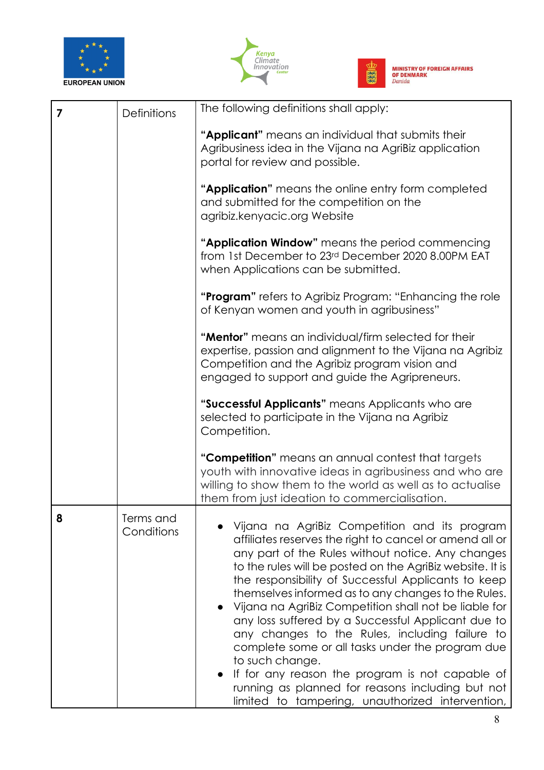





| 7 | <b>Definitions</b>      | The following definitions shall apply:                                                                                                                                                                                                                                                                                                                                                                                                                                                                                                                                                                                                                                                                                                      |
|---|-------------------------|---------------------------------------------------------------------------------------------------------------------------------------------------------------------------------------------------------------------------------------------------------------------------------------------------------------------------------------------------------------------------------------------------------------------------------------------------------------------------------------------------------------------------------------------------------------------------------------------------------------------------------------------------------------------------------------------------------------------------------------------|
|   |                         | "Applicant" means an individual that submits their<br>Agribusiness idea in the Vijana na AgriBiz application<br>portal for review and possible.                                                                                                                                                                                                                                                                                                                                                                                                                                                                                                                                                                                             |
|   |                         | "Application" means the online entry form completed<br>and submitted for the competition on the<br>agribiz.kenyacic.org Website                                                                                                                                                                                                                                                                                                                                                                                                                                                                                                                                                                                                             |
|   |                         | "Application Window" means the period commencing<br>from 1st December to 23rd December 2020 8.00PM EAT<br>when Applications can be submitted.                                                                                                                                                                                                                                                                                                                                                                                                                                                                                                                                                                                               |
|   |                         | " <b>Program</b> " refers to Agribiz Program: "Enhancing the role<br>of Kenyan women and youth in agribusiness"                                                                                                                                                                                                                                                                                                                                                                                                                                                                                                                                                                                                                             |
|   |                         | "Mentor" means an individual/firm selected for their<br>expertise, passion and alignment to the Vijana na Agribiz<br>Competition and the Agribiz program vision and<br>engaged to support and guide the Agripreneurs.                                                                                                                                                                                                                                                                                                                                                                                                                                                                                                                       |
|   |                         | "Successful Applicants" means Applicants who are<br>selected to participate in the Vijana na Agribiz<br>Competition.                                                                                                                                                                                                                                                                                                                                                                                                                                                                                                                                                                                                                        |
|   |                         | "Competition" means an annual contest that targets<br>youth with innovative ideas in agribusiness and who are<br>willing to show them to the world as well as to actualise<br>them from just ideation to commercialisation.                                                                                                                                                                                                                                                                                                                                                                                                                                                                                                                 |
| 8 | Terms and<br>Conditions | Vijana na AgriBiz Competition and its program<br>affiliates reserves the right to cancel or amend all or<br>any part of the Rules without notice. Any changes<br>to the rules will be posted on the AgriBiz website. It is<br>the responsibility of Successful Applicants to keep<br>themselves informed as to any changes to the Rules.<br>Vijana na AgriBiz Competition shall not be liable for<br>any loss suffered by a Successful Applicant due to<br>any changes to the Rules, including failure to<br>complete some or all tasks under the program due<br>to such change.<br>If for any reason the program is not capable of<br>running as planned for reasons including but not<br>limited to tampering, unauthorized intervention, |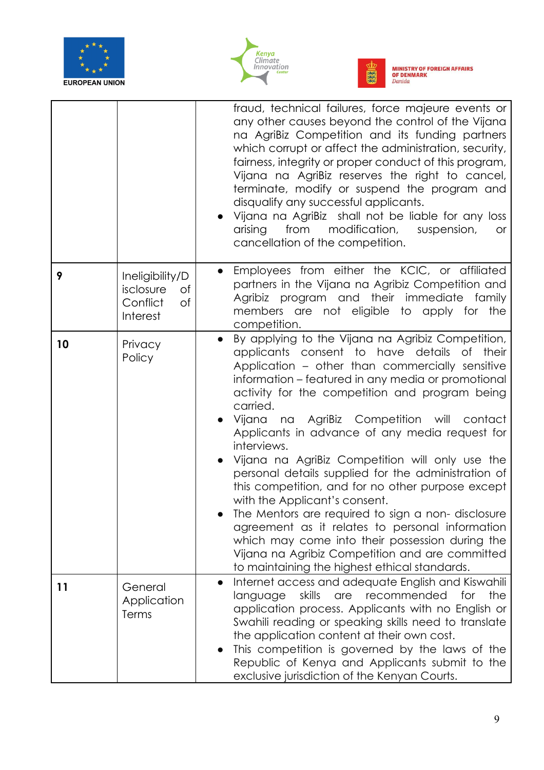





|    |                                                                  | fraud, technical failures, force majeure events or<br>any other causes beyond the control of the Vijana<br>na AgriBiz Competition and its funding partners<br>which corrupt or affect the administration, security,<br>fairness, integrity or proper conduct of this program,<br>Vijana na AgriBiz reserves the right to cancel,<br>terminate, modify or suspend the program and<br>disqualify any successful applicants.<br>Vijana na AgriBiz shall not be liable for any loss<br>arising<br>from<br>modification,<br>suspension,<br><b>or</b><br>cancellation of the competition.                                                                                                                                                                                                                                                                                   |
|----|------------------------------------------------------------------|-----------------------------------------------------------------------------------------------------------------------------------------------------------------------------------------------------------------------------------------------------------------------------------------------------------------------------------------------------------------------------------------------------------------------------------------------------------------------------------------------------------------------------------------------------------------------------------------------------------------------------------------------------------------------------------------------------------------------------------------------------------------------------------------------------------------------------------------------------------------------|
| 9  | Ineligibility/D<br>isclosure<br>Оf<br>Conflict<br>of<br>Interest | Employees from either the KCIC, or affiliated<br>$\bullet$<br>partners in the Vijana na Agribiz Competition and<br>Agribiz program and their immediate family<br>members are not eligible to apply for the<br>competition.                                                                                                                                                                                                                                                                                                                                                                                                                                                                                                                                                                                                                                            |
| 10 | Privacy<br>Policy                                                | By applying to the Vijana na Agribiz Competition,<br>$\bullet$<br>applicants consent to have details of<br>their<br>Application - other than commercially sensitive<br>information – featured in any media or promotional<br>activity for the competition and program being<br>carried.<br>Vijana na AgriBiz Competition will contact<br>Applicants in advance of any media request for<br>interviews.<br>Vijana na AgriBiz Competition will only use the<br>personal details supplied for the administration of<br>this competition, and for no other purpose except<br>with the Applicant's consent.<br>The Mentors are required to sign a non-disclosure<br>agreement as it relates to personal information<br>which may come into their possession during the<br>Vijana na Agribiz Competition and are committed<br>to maintaining the highest ethical standards. |
| 11 | General<br>Application<br>Terms                                  | Internet access and adequate English and Kiswahili<br>$\bullet$<br>skills<br>recommended<br>the<br>are<br>for<br>language<br>application process. Applicants with no English or<br>Swahili reading or speaking skills need to translate<br>the application content at their own cost.<br>This competition is governed by the laws of the<br>Republic of Kenya and Applicants submit to the<br>exclusive jurisdiction of the Kenyan Courts.                                                                                                                                                                                                                                                                                                                                                                                                                            |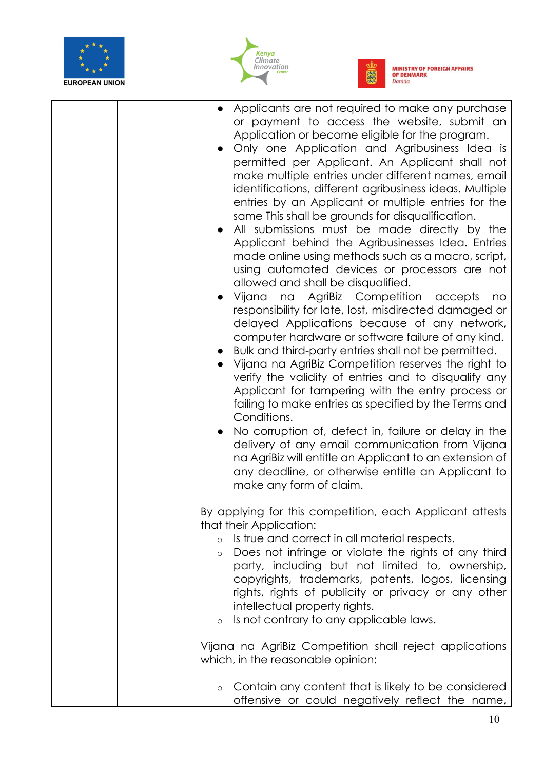





| Applicants are not required to make any purchase<br>or payment to access the website, submit an<br>Application or become eligible for the program.<br>• Only one Application and Agribusiness Idea is<br>permitted per Applicant. An Applicant shall not<br>make multiple entries under different names, email<br>identifications, different agribusiness ideas. Multiple<br>entries by an Applicant or multiple entries for the<br>same This shall be grounds for disqualification.<br>All submissions must be made directly by the<br>Applicant behind the Agribusinesses Idea. Entries<br>made online using methods such as a macro, script,<br>using automated devices or processors are not<br>allowed and shall be disqualified.<br>Vijana na AgriBiz Competition accepts<br>no<br>responsibility for late, lost, misdirected damaged or<br>delayed Applications because of any network,<br>computer hardware or software failure of any kind.<br>Bulk and third-party entries shall not be permitted.<br>Vijana na AgriBiz Competition reserves the right to<br>verify the validity of entries and to disqualify any<br>Applicant for tampering with the entry process or<br>failing to make entries as specified by the Terms and<br>Conditions.<br>No corruption of, defect in, failure or delay in the<br>delivery of any email communication from Vijana<br>na AgriBiz will entitle an Applicant to an extension of<br>any deadline, or otherwise entitle an Applicant to<br>make any form of claim. |
|-----------------------------------------------------------------------------------------------------------------------------------------------------------------------------------------------------------------------------------------------------------------------------------------------------------------------------------------------------------------------------------------------------------------------------------------------------------------------------------------------------------------------------------------------------------------------------------------------------------------------------------------------------------------------------------------------------------------------------------------------------------------------------------------------------------------------------------------------------------------------------------------------------------------------------------------------------------------------------------------------------------------------------------------------------------------------------------------------------------------------------------------------------------------------------------------------------------------------------------------------------------------------------------------------------------------------------------------------------------------------------------------------------------------------------------------------------------------------------------------------------------------|
| By applying for this competition, each Applicant attests<br>that their Application:<br>Is true and correct in all material respects.<br>$\circ$<br>Does not infringe or violate the rights of any third<br>$\circ$<br>party, including but not limited to, ownership,<br>copyrights, trademarks, patents, logos, licensing<br>rights, rights of publicity or privacy or any other<br>intellectual property rights.<br>Is not contrary to any applicable laws.<br>$\circ$                                                                                                                                                                                                                                                                                                                                                                                                                                                                                                                                                                                                                                                                                                                                                                                                                                                                                                                                                                                                                                        |
| Vijana na AgriBiz Competition shall reject applications<br>which, in the reasonable opinion:                                                                                                                                                                                                                                                                                                                                                                                                                                                                                                                                                                                                                                                                                                                                                                                                                                                                                                                                                                                                                                                                                                                                                                                                                                                                                                                                                                                                                    |
| Contain any content that is likely to be considered<br>$\circ$                                                                                                                                                                                                                                                                                                                                                                                                                                                                                                                                                                                                                                                                                                                                                                                                                                                                                                                                                                                                                                                                                                                                                                                                                                                                                                                                                                                                                                                  |

offensive or could negatively reflect the name,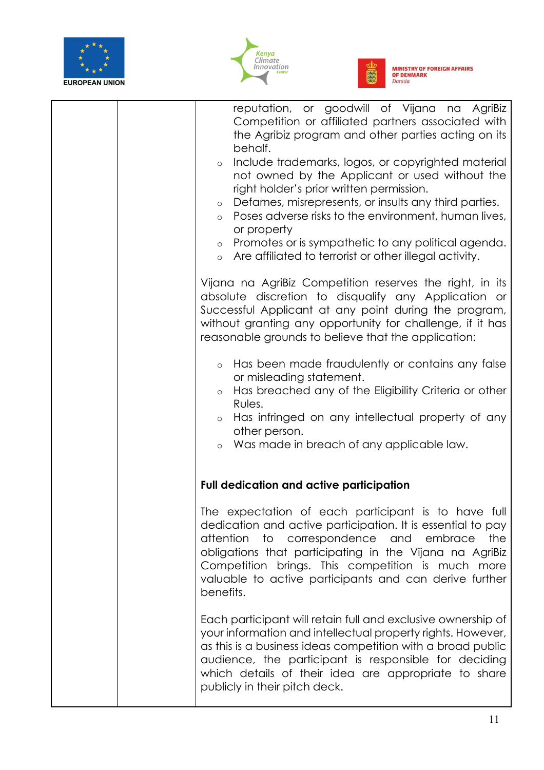





|  | reputation, or goodwill of Vijana na AgriBiz<br>Competition or affiliated partners associated with<br>the Agribiz program and other parties acting on its<br>behalf.<br>Include trademarks, logos, or copyrighted material<br>$\circ$<br>not owned by the Applicant or used without the<br>right holder's prior written permission.<br>Defames, misrepresents, or insults any third parties.<br>$\circ$<br>Poses adverse risks to the environment, human lives,<br>$\circ$<br>or property<br>Promotes or is sympathetic to any political agenda.<br>$\circ$<br>Are affiliated to terrorist or other illegal activity.<br>$\circ$<br>Vijana na AgriBiz Competition reserves the right, in its<br>absolute discretion to disqualify any Application or<br>Successful Applicant at any point during the program,<br>without granting any opportunity for challenge, if it has<br>reasonable grounds to believe that the application:<br>Has been made fraudulently or contains any false<br>$\circ$<br>or misleading statement.<br>Has breached any of the Eligibility Criteria or other<br>$\circ$<br>Rules.<br>Has infringed on any intellectual property of any<br>$\circ$<br>other person.<br>Was made in breach of any applicable law.<br>$\circ$ |
|--|-----------------------------------------------------------------------------------------------------------------------------------------------------------------------------------------------------------------------------------------------------------------------------------------------------------------------------------------------------------------------------------------------------------------------------------------------------------------------------------------------------------------------------------------------------------------------------------------------------------------------------------------------------------------------------------------------------------------------------------------------------------------------------------------------------------------------------------------------------------------------------------------------------------------------------------------------------------------------------------------------------------------------------------------------------------------------------------------------------------------------------------------------------------------------------------------------------------------------------------------------------|
|  | <b>Full dedication and active participation</b>                                                                                                                                                                                                                                                                                                                                                                                                                                                                                                                                                                                                                                                                                                                                                                                                                                                                                                                                                                                                                                                                                                                                                                                                     |
|  | The expectation of each participant is to have full<br>dedication and active participation. It is essential to pay<br>attention<br>to correspondence<br>the<br>and<br>embrace<br>obligations that participating in the Vijana na AgriBiz<br>Competition brings. This competition is much more<br>valuable to active participants and can derive further<br>benefits.                                                                                                                                                                                                                                                                                                                                                                                                                                                                                                                                                                                                                                                                                                                                                                                                                                                                                |
|  | Each participant will retain full and exclusive ownership of<br>your information and intellectual property rights. However,<br>as this is a business ideas competition with a broad public<br>audience, the participant is responsible for deciding<br>which details of their idea are appropriate to share<br>publicly in their pitch deck.                                                                                                                                                                                                                                                                                                                                                                                                                                                                                                                                                                                                                                                                                                                                                                                                                                                                                                        |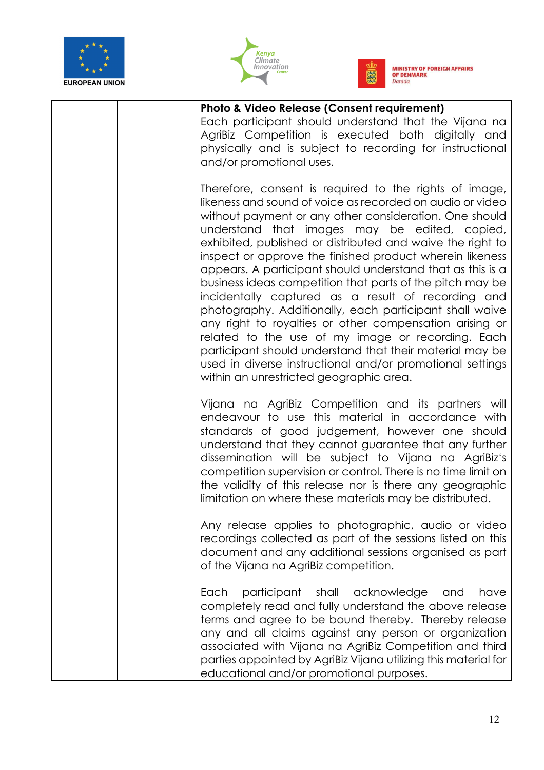





| <b>Photo &amp; Video Release (Consent requirement)</b><br>Each participant should understand that the Vijana na<br>AgriBiz Competition is executed both digitally and<br>physically and is subject to recording for instructional<br>and/or promotional uses.                                                                                                                                                                                                                                                                                                                                                                                                                                                                                                                                                                                                                            |
|------------------------------------------------------------------------------------------------------------------------------------------------------------------------------------------------------------------------------------------------------------------------------------------------------------------------------------------------------------------------------------------------------------------------------------------------------------------------------------------------------------------------------------------------------------------------------------------------------------------------------------------------------------------------------------------------------------------------------------------------------------------------------------------------------------------------------------------------------------------------------------------|
| Therefore, consent is required to the rights of image,<br>likeness and sound of voice as recorded on audio or video<br>without payment or any other consideration. One should<br>understand that images may be edited, copied,<br>exhibited, published or distributed and waive the right to<br>inspect or approve the finished product wherein likeness<br>appears. A participant should understand that as this is a<br>business ideas competition that parts of the pitch may be<br>incidentally captured as a result of recording and<br>photography. Additionally, each participant shall waive<br>any right to royalties or other compensation arising or<br>related to the use of my image or recording. Each<br>participant should understand that their material may be<br>used in diverse instructional and/or promotional settings<br>within an unrestricted geographic area. |
| Vijana na AgriBiz Competition and its partners will<br>endeavour to use this material in accordance with<br>standards of good judgement, however one should<br>understand that they cannot guarantee that any further<br>dissemination will be subject to Vijana na AgriBiz's<br>competition supervision or control. There is no time limit on<br>the validity of this release nor is there any geographic<br>limitation on where these materials may be distributed.                                                                                                                                                                                                                                                                                                                                                                                                                    |
| Any release applies to photographic, audio or video<br>recordings collected as part of the sessions listed on this<br>document and any additional sessions organised as part<br>of the Vijana na AgriBiz competition.                                                                                                                                                                                                                                                                                                                                                                                                                                                                                                                                                                                                                                                                    |
| participant shall<br>acknowledge<br>Each<br>have<br>and<br>completely read and fully understand the above release<br>terms and agree to be bound thereby. Thereby release<br>any and all claims against any person or organization<br>associated with Vijana na AgriBiz Competition and third<br>parties appointed by AgriBiz Vijana utilizing this material for<br>educational and/or promotional purposes.                                                                                                                                                                                                                                                                                                                                                                                                                                                                             |